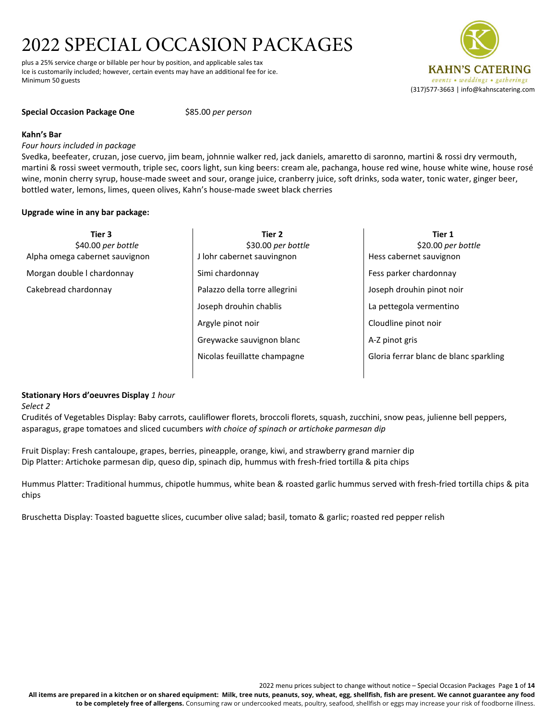plus a 25% service charge or billable per hour by position, and applicable sales tax Ice is customarily included; however, certain events may have an additional fee for ice. Minimum 50 guests



#### **Special Occasion Package One** \$85.00 *per person*

#### **Kahn's Bar**

# *Four hours included in package*

Svedka, beefeater, cruzan, jose cuervo, jim beam, johnnie walker red, jack daniels, amaretto di saronno, martini & rossi dry vermouth, martini & rossi sweet vermouth, triple sec, coors light, sun king beers: cream ale, pachanga, house red wine, house white wine, house rosé wine, monin cherry syrup, house-made sweet and sour, orange juice, cranberry juice, soft drinks, soda water, tonic water, ginger beer, bottled water, lemons, limes, queen olives, Kahn's house-made sweet black cherries

# **Upgrade wine in any bar package:**

**Tier 3** \$40.00 *per bottle* Alpha omega cabernet sauvignon Morgan double l chardonnay Cakebread chardonnay

- **Tier 2** \$30.00 *per bottle* J lohr cabernet sauvingnon Simi chardonnay Palazzo della torre allegrini Joseph drouhin chablis Argyle pinot noir Greywacke sauvignon blanc Nicolas feuillatte champagne
- **Tier 1** \$20.00 *per bottle* Hess cabernet sauvignon Fess parker chardonnay Joseph drouhin pinot noir La pettegola vermentino Cloudline pinot noir A-Z pinot gris Gloria ferrar blanc de blanc sparkling

# **Stationary Hors d'oeuvres Display** *1 hour*

*Select 2*

Crudités of Vegetables Display: Baby carrots, cauliflower florets, broccoli florets, squash, zucchini, snow peas, julienne bell peppers, asparagus, grape tomatoes and sliced cucumbers *with choice of spinach or artichoke parmesan dip*

Fruit Display: Fresh cantaloupe, grapes, berries, pineapple, orange, kiwi, and strawberry grand marnier dip Dip Platter: Artichoke parmesan dip, queso dip, spinach dip, hummus with fresh-fried tortilla & pita chips

Hummus Platter: Traditional hummus, chipotle hummus, white bean & roasted garlic hummus served with fresh-fried tortilla chips & pita chips

Bruschetta Display: Toasted baguette slices, cucumber olive salad; basil, tomato & garlic; roasted red pepper relish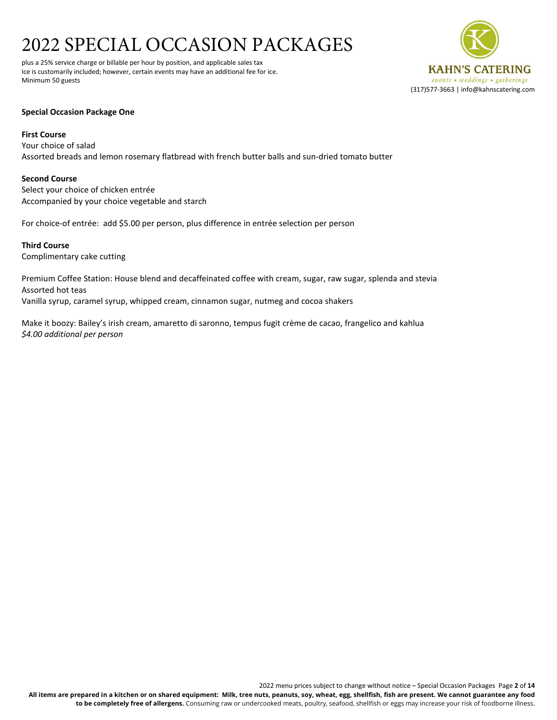plus a 25% service charge or billable per hour by position, and applicable sales tax Ice is customarily included; however, certain events may have an additional fee for ice. Minimum 50 guests



# **Special Occasion Package One**

# **First Course**

Your choice of salad Assorted breads and lemon rosemary flatbread with french butter balls and sun-dried tomato butter

# **Second Course**

Select your choice of chicken entrée Accompanied by your choice vegetable and starch

For choice-of entrée: add \$5.00 per person, plus difference in entrée selection per person

**Third Course** Complimentary cake cutting

Premium Coffee Station: House blend and decaffeinated coffee with cream, sugar, raw sugar, splenda and stevia Assorted hot teas Vanilla syrup, caramel syrup, whipped cream, cinnamon sugar, nutmeg and cocoa shakers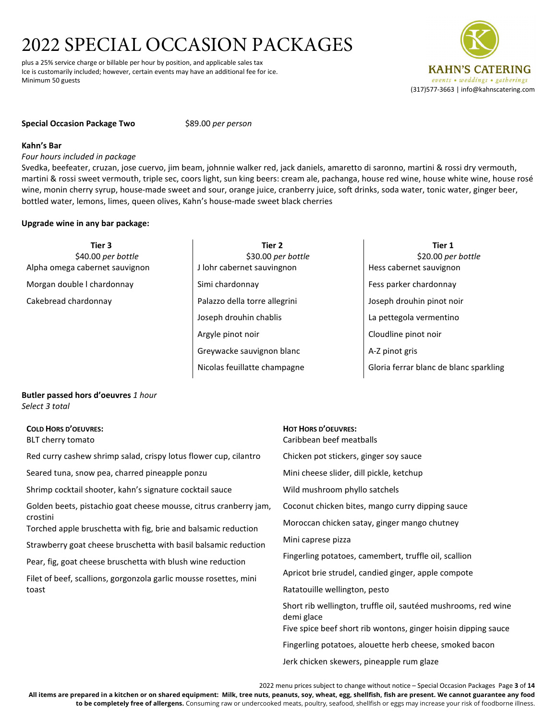plus a 25% service charge or billable per hour by position, and applicable sales tax Ice is customarily included; however, certain events may have an additional fee for ice. Minimum 50 guests

#### **Special Occasion Package Two** \$89.00 *per person*

#### **Kahn's Bar**

*Four hours included in package*

Svedka, beefeater, cruzan, jose cuervo, jim beam, johnnie walker red, jack daniels, amaretto di saronno, martini & rossi dry vermouth, martini & rossi sweet vermouth, triple sec, coors light, sun king beers: cream ale, pachanga, house red wine, house white wine, house rosé wine, monin cherry syrup, house-made sweet and sour, orange juice, cranberry juice, soft drinks, soda water, tonic water, ginger beer, bottled water, lemons, limes, queen olives, Kahn's house-made sweet black cherries

# **Upgrade wine in any bar package:**

**Tier 3** \$40.00 *per bottle* Alpha omega cabernet sauvignon

Morgan double l chardonnay

Cakebread chardonnay

- **Tier 2** \$30.00 *per bottle* J lohr cabernet sauvingnon Simi chardonnay Palazzo della torre allegrini Joseph drouhin chablis Argyle pinot noir Greywacke sauvignon blanc Nicolas feuillatte champagne
- **Tier 1** \$20.00 *per bottle* Hess cabernet sauvignon Fess parker chardonnay Joseph drouhin pinot noir La pettegola vermentino Cloudline pinot noir A-Z pinot gris Gloria ferrar blanc de blanc sparkling

# **Butler passed hors d'oeuvres** *1 hour* *Select 3 total*

# **COLD HORS D'OEUVRES:**

BLT cherry tomato

Red curry cashew shrimp salad, crispy lotus flower cup, cilantro

Seared tuna, snow pea, charred pineapple ponzu

Shrimp cocktail shooter, kahn's signature cocktail sauce

Golden beets, pistachio goat cheese mousse, citrus cranberry jam, crostini

Torched apple bruschetta with fig, brie and balsamic reduction

Strawberry goat cheese bruschetta with basil balsamic reduction

Pear, fig, goat cheese bruschetta with blush wine reduction

Filet of beef, scallions, gorgonzola garlic mousse rosettes, mini toast

# **HOT HORS D'OEUVRES:** Caribbean beef meatballs

Chicken pot stickers, ginger soy sauce

Mini cheese slider, dill pickle, ketchup

Wild mushroom phyllo satchels

Coconut chicken bites, mango curry dipping sauce

Moroccan chicken satay, ginger mango chutney

Mini caprese pizza

Fingerling potatoes, camembert, truffle oil, scallion

Apricot brie strudel, candied ginger, apple compote

Ratatouille wellington, pesto

Short rib wellington, truffle oil, sautéed mushrooms, red wine demi glace

Five spice beef short rib wontons, ginger hoisin dipping sauce

Fingerling potatoes, alouette herb cheese, smoked bacon

Jerk chicken skewers, pineapple rum glaze

2022 menu prices subject to change without notice – Special Occasion Packages Page **3** of **14 All items are prepared in a kitchen or on shared equipment: Milk, tree nuts, peanuts, soy, wheat, egg, shellfish, fish are present. We cannot guarantee any food to be completely free of allergens.** Consuming raw or undercooked meats, poultry, seafood, shellfish or eggs may increase your risk of foodborne illness.

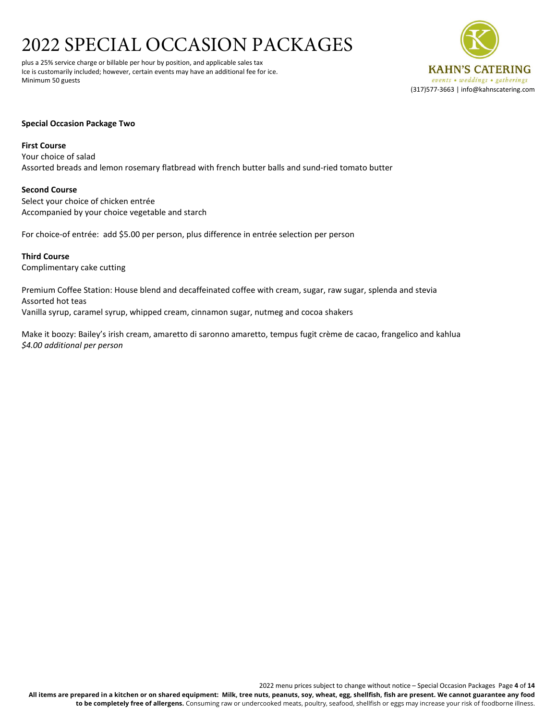plus a 25% service charge or billable per hour by position, and applicable sales tax Ice is customarily included; however, certain events may have an additional fee for ice. Minimum 50 guests



# **Special Occasion Package Two**

#### **First Course**

Your choice of salad Assorted breads and lemon rosemary flatbread with french butter balls and sund-ried tomato butter

# **Second Course**

Select your choice of chicken entrée Accompanied by your choice vegetable and starch

For choice-of entrée: add \$5.00 per person, plus difference in entrée selection per person

**Third Course** Complimentary cake cutting

Premium Coffee Station: House blend and decaffeinated coffee with cream, sugar, raw sugar, splenda and stevia Assorted hot teas Vanilla syrup, caramel syrup, whipped cream, cinnamon sugar, nutmeg and cocoa shakers

Make it boozy: Bailey's irish cream, amaretto di saronno amaretto, tempus fugit crème de cacao, frangelico and kahlua *\$4.00 additional per person*

2022 menu prices subject to change without notice – Special Occasion Packages Page **4** of **14 All items are prepared in a kitchen or on shared equipment: Milk, tree nuts, peanuts, soy, wheat, egg, shellfish, fish are present. We cannot guarantee any food to be completely free of allergens.** Consuming raw or undercooked meats, poultry, seafood, shellfish or eggs may increase your risk of foodborne illness.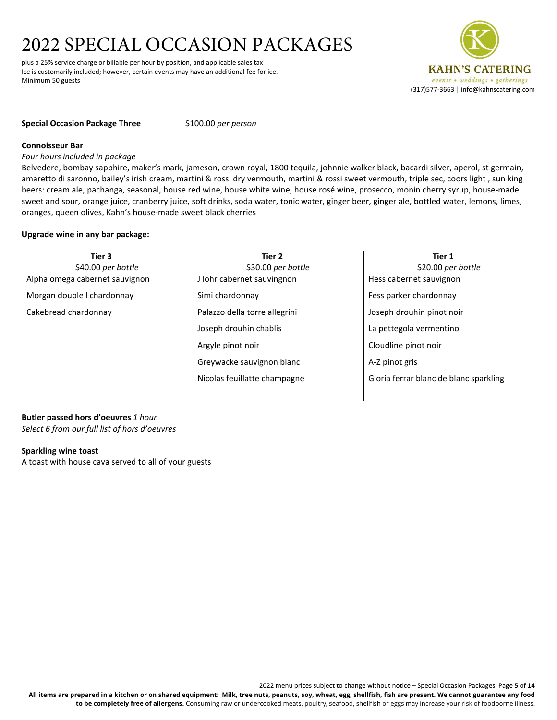plus a 25% service charge or billable per hour by position, and applicable sales tax Ice is customarily included; however, certain events may have an additional fee for ice. Minimum 50 guests

# **Special Occasion Package Three** \$100.00 *per person*

#### **Connoisseur Bar**

*Four hours included in package*

Belvedere, bombay sapphire, maker's mark, jameson, crown royal, 1800 tequila, johnnie walker black, bacardi silver, aperol, st germain, amaretto di saronno, bailey's irish cream, martini & rossi dry vermouth, martini & rossi sweet vermouth, triple sec, coors light , sun king beers: cream ale, pachanga, seasonal, house red wine, house white wine, house rosé wine, prosecco, monin cherry syrup, house-made sweet and sour, orange juice, cranberry juice, soft drinks, soda water, tonic water, ginger beer, ginger ale, bottled water, lemons, limes, oranges, queen olives, Kahn's house-made sweet black cherries

# **Upgrade wine in any bar package:**

**Tier 3** \$40.00 *per bottle* Alpha omega cabernet sauvignon Morgan double l chardonnay

Cakebread chardonnay

- **Tier 2** \$30.00 *per bottle* J lohr cabernet sauvingnon Simi chardonnay Palazzo della torre allegrini Joseph drouhin chablis Argyle pinot noir Greywacke sauvignon blanc Nicolas feuillatte champagne
- **Tier 1** \$20.00 *per bottle* Hess cabernet sauvignon Fess parker chardonnay Joseph drouhin pinot noir La pettegola vermentino Cloudline pinot noir A-Z pinot gris Gloria ferrar blanc de blanc sparkling

**Butler passed hors d'oeuvres** *1 hour Select 6 from our full list of hors d'oeuvres*

# **Sparkling wine toast**

A toast with house cava served to all of your guests

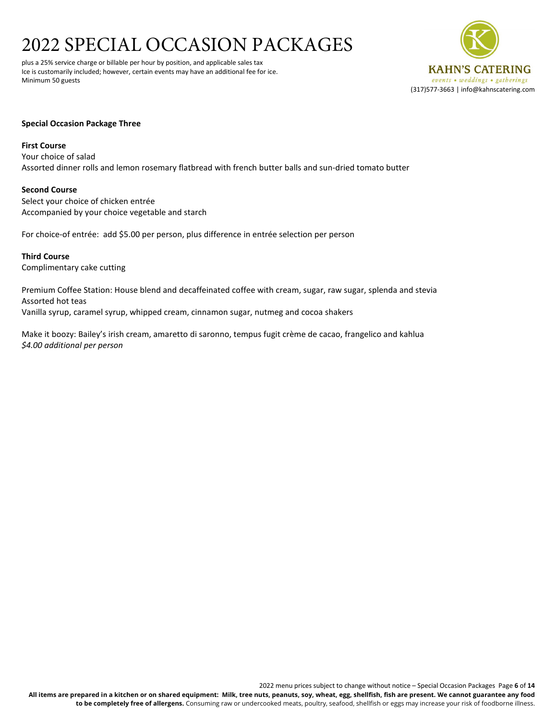plus a 25% service charge or billable per hour by position, and applicable sales tax Ice is customarily included; however, certain events may have an additional fee for ice. Minimum 50 guests



# **Special Occasion Package Three**

## **First Course**

Your choice of salad Assorted dinner rolls and lemon rosemary flatbread with french butter balls and sun-dried tomato butter

# **Second Course**

Select your choice of chicken entrée Accompanied by your choice vegetable and starch

For choice-of entrée: add \$5.00 per person, plus difference in entrée selection per person

**Third Course** Complimentary cake cutting

Premium Coffee Station: House blend and decaffeinated coffee with cream, sugar, raw sugar, splenda and stevia Assorted hot teas Vanilla syrup, caramel syrup, whipped cream, cinnamon sugar, nutmeg and cocoa shakers

Make it boozy: Bailey's irish cream, amaretto di saronno, tempus fugit crème de cacao, frangelico and kahlua *\$4.00 additional per person*

2022 menu prices subject to change without notice – Special Occasion Packages Page **6** of **14 All items are prepared in a kitchen or on shared equipment: Milk, tree nuts, peanuts, soy, wheat, egg, shellfish, fish are present. We cannot guarantee any food to be completely free of allergens.** Consuming raw or undercooked meats, poultry, seafood, shellfish or eggs may increase your risk of foodborne illness.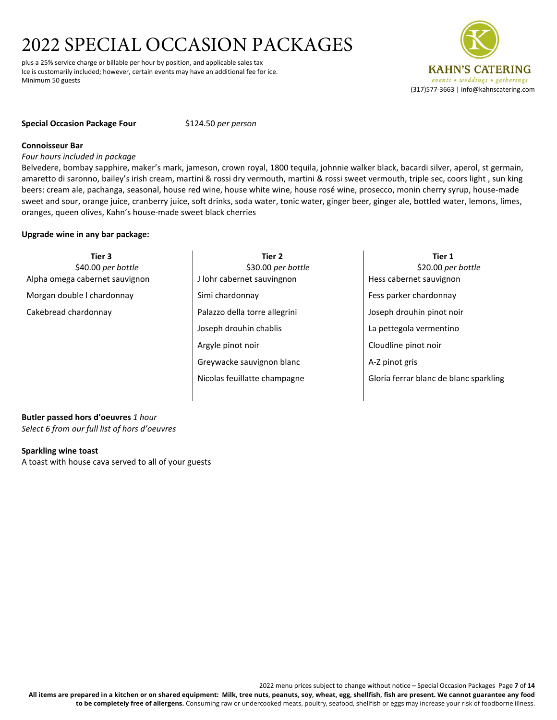plus a 25% service charge or billable per hour by position, and applicable sales tax Ice is customarily included; however, certain events may have an additional fee for ice. Minimum 50 guests

# **Special Occasion Package Four** \$124.50 *per person*

#### **Connoisseur Bar**

*Four hours included in package*

Belvedere, bombay sapphire, maker's mark, jameson, crown royal, 1800 tequila, johnnie walker black, bacardi silver, aperol, st germain, amaretto di saronno, bailey's irish cream, martini & rossi dry vermouth, martini & rossi sweet vermouth, triple sec, coors light , sun king beers: cream ale, pachanga, seasonal, house red wine, house white wine, house rosé wine, prosecco, monin cherry syrup, house-made sweet and sour, orange juice, cranberry juice, soft drinks, soda water, tonic water, ginger beer, ginger ale, bottled water, lemons, limes, oranges, queen olives, Kahn's house-made sweet black cherries

# **Upgrade wine in any bar package:**

**Tier 3** \$40.00 *per bottle* Alpha omega cabernet sauvignon Morgan double l chardonnay

Cakebread chardonnay

- **Tier 2** \$30.00 *per bottle* J lohr cabernet sauvingnon Simi chardonnay Palazzo della torre allegrini Joseph drouhin chablis Argyle pinot noir Greywacke sauvignon blanc Nicolas feuillatte champagne
- **Tier 1** \$20.00 *per bottle* Hess cabernet sauvignon Fess parker chardonnay Joseph drouhin pinot noir La pettegola vermentino Cloudline pinot noir A-Z pinot gris Gloria ferrar blanc de blanc sparkling

**Butler passed hors d'oeuvres** *1 hour Select 6 from our full list of hors d'oeuvres*

# **Sparkling wine toast**

A toast with house cava served to all of your guests

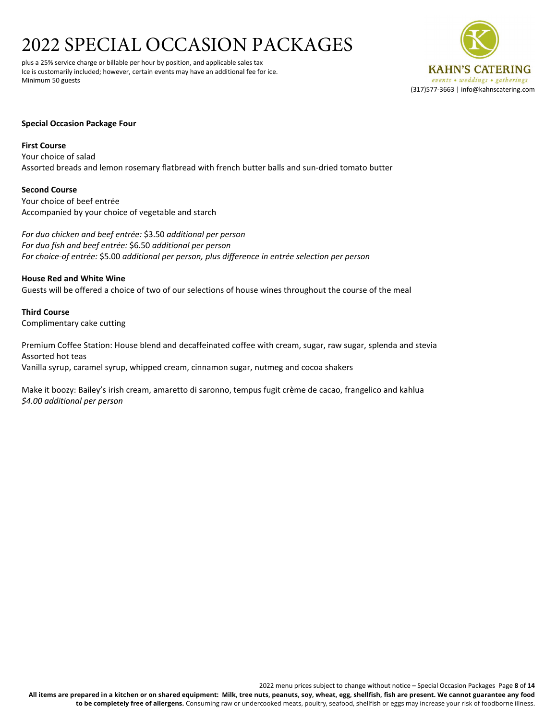plus a 25% service charge or billable per hour by position, and applicable sales tax Ice is customarily included; however, certain events may have an additional fee for ice. Minimum 50 guests



# **Special Occasion Package Four**

**First Course**

Your choice of salad Assorted breads and lemon rosemary flatbread with french butter balls and sun-dried tomato butter

**Second Course**

Your choice of beef entrée Accompanied by your choice of vegetable and starch

*For duo chicken and beef entrée:* \$3.50 *additional per person For duo fish and beef entrée:* \$6.50 *additional per person For choice-of entrée:* \$5.00 *additional per person, plus difference in entrée selection per person*

**House Red and White Wine** Guests will be offered a choice of two of our selections of house wines throughout the course of the meal

**Third Course** Complimentary cake cutting

Premium Coffee Station: House blend and decaffeinated coffee with cream, sugar, raw sugar, splenda and stevia Assorted hot teas Vanilla syrup, caramel syrup, whipped cream, cinnamon sugar, nutmeg and cocoa shakers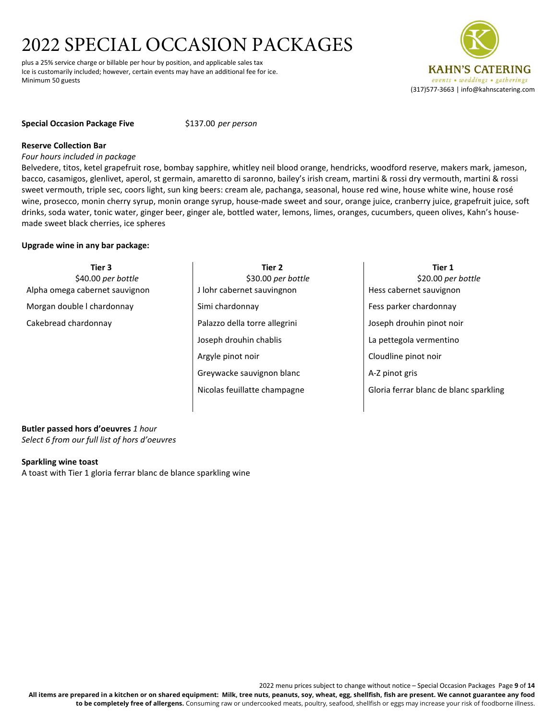plus a 25% service charge or billable per hour by position, and applicable sales tax Ice is customarily included; however, certain events may have an additional fee for ice. Minimum 50 guests

# **Special Occasion Package Five** \$137.00 *per person*

# **Reserve Collection Bar**

*Four hours included in package*

Belvedere, titos, ketel grapefruit rose, bombay sapphire, whitley neil blood orange, hendricks, woodford reserve, makers mark, jameson, bacco, casamigos, glenlivet, aperol, st germain, amaretto di saronno, bailey's irish cream, martini & rossi dry vermouth, martini & rossi sweet vermouth, triple sec, coors light, sun king beers: cream ale, pachanga, seasonal, house red wine, house white wine, house rosé wine, prosecco, monin cherry syrup, monin orange syrup, house-made sweet and sour, orange juice, cranberry juice, grapefruit juice, soft drinks, soda water, tonic water, ginger beer, ginger ale, bottled water, lemons, limes, oranges, cucumbers, queen olives, Kahn's housemade sweet black cherries, ice spheres

# **Upgrade wine in any bar package:**

**Tier 3** \$40.00 *per bottle* Alpha omega cabernet sauvignon Morgan double l chardonnay Cakebread chardonnay **Tier 2** \$30.00 *per bottle* J lohr cabernet sauvingnon Simi chardonnay Palazzo della torre allegrini Joseph drouhin chablis Argyle pinot noir Greywacke sauvignon blanc Nicolas feuillatte champagne **Tier 1** \$20.00 *per bottle* Hess cabernet sauvignon Fess parker chardonnay Joseph drouhin pinot noir La pettegola vermentino Cloudline pinot noir A-Z pinot gris Gloria ferrar blanc de blanc sparkling

#### **Butler passed hors d'oeuvres** *1 hour Select 6 from our full list of hors d'oeuvres*

**Sparkling wine toast**

A toast with Tier 1 gloria ferrar blanc de blance sparkling wine

2022 menu prices subject to change without notice – Special Occasion Packages Page **9** of **14 All items are prepared in a kitchen or on shared equipment: Milk, tree nuts, peanuts, soy, wheat, egg, shellfish, fish are present. We cannot guarantee any food to be completely free of allergens.** Consuming raw or undercooked meats, poultry, seafood, shellfish or eggs may increase your risk of foodborne illness.

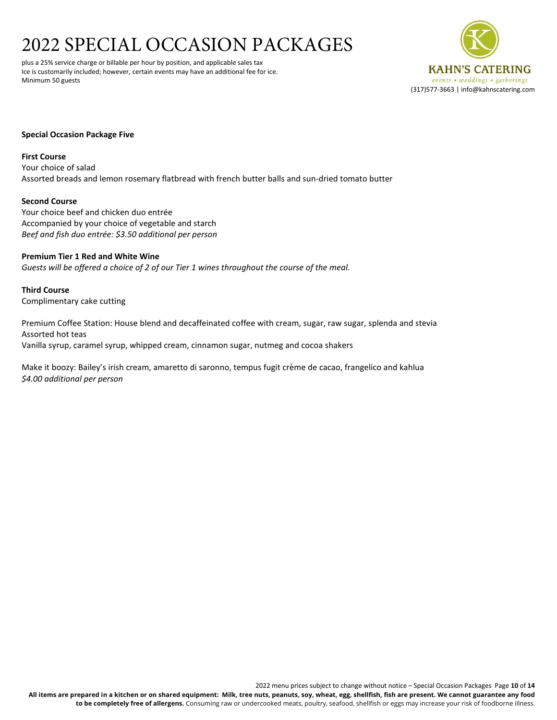plus a 25% service charge or billable per hour by position, and applicable sales tax Ice is customarily included; however, certain events may have an additional fee for ice. Minimum 50 guests



# **Special Occasion Package Five**

#### **First Course**

Your choice of salad Assorted breads and lemon rosemary flatbread with french butter balls and sun-dried tomato butter

# **Second Course**

Your choice beef and chicken duo entrée Accompanied by your choice of vegetable and starch *Beef and fish duo entrée: \$3.50 additional per person*

# **Premium Tier 1 Red and White Wine**

*Guests will be offered a choice of 2 of our Tier 1 wines throughout the course of the meal.*

**Third Course** Complimentary cake cutting

Premium Coffee Station: House blend and decaffeinated coffee with cream, sugar, raw sugar, splenda and stevia Assorted hot teas Vanilla syrup, caramel syrup, whipped cream, cinnamon sugar, nutmeg and cocoa shakers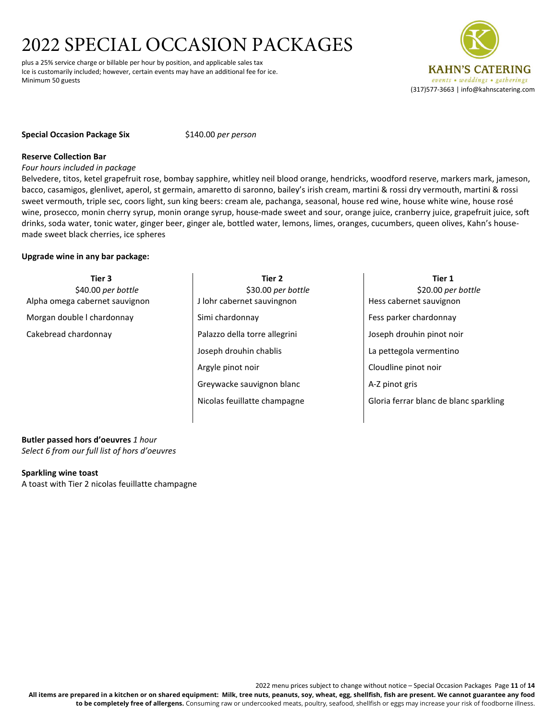plus a 25% service charge or billable per hour by position, and applicable sales tax Ice is customarily included; however, certain events may have an additional fee for ice. Minimum 50 guests



# **Special Occasion Package Six** \$140.00 *per person*

# **Reserve Collection Bar**

*Four hours included in package*

Belvedere, titos, ketel grapefruit rose, bombay sapphire, whitley neil blood orange, hendricks, woodford reserve, markers mark, jameson, bacco, casamigos, glenlivet, aperol, st germain, amaretto di saronno, bailey's irish cream, martini & rossi dry vermouth, martini & rossi sweet vermouth, triple sec, coors light, sun king beers: cream ale, pachanga, seasonal, house red wine, house white wine, house rosé wine, prosecco, monin cherry syrup, monin orange syrup, house-made sweet and sour, orange juice, cranberry juice, grapefruit juice, soft drinks, soda water, tonic water, ginger beer, ginger ale, bottled water, lemons, limes, oranges, cucumbers, queen olives, Kahn's housemade sweet black cherries, ice spheres

# **Upgrade wine in any bar package:**

**Tier 3** \$40.00 *per bottle* Alpha omega cabernet sauvignon Morgan double l chardonnay Cakebread chardonnay **Tier 2** \$30.00 *per bottle* J lohr cabernet sauvingnon Simi chardonnay Palazzo della torre allegrini Joseph drouhin chablis Argyle pinot noir Greywacke sauvignon blanc Nicolas feuillatte champagne **Tier 1** \$20.00 *per bottle* Hess cabernet sauvignon Fess parker chardonnay Joseph drouhin pinot noir La pettegola vermentino Cloudline pinot noir A-Z pinot gris Gloria ferrar blanc de blanc sparkling

**Butler passed hors d'oeuvres** *1 hour Select 6 from our full list of hors d'oeuvres*

#### **Sparkling wine toast**

A toast with Tier 2 nicolas feuillatte champagne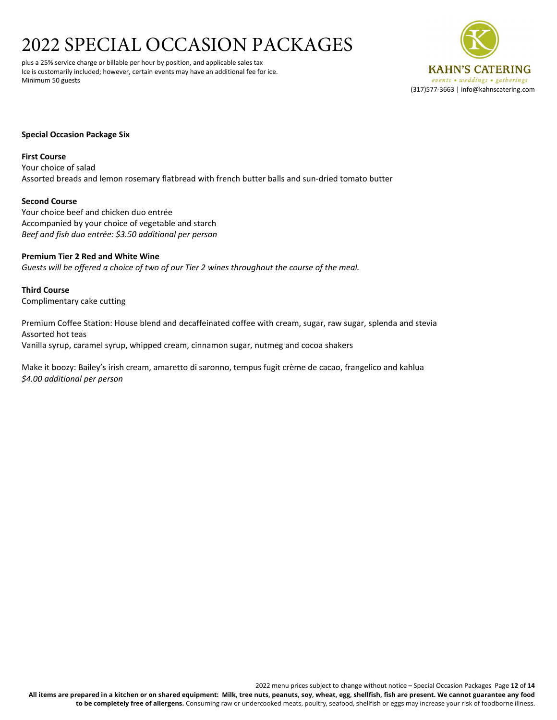plus a 25% service charge or billable per hour by position, and applicable sales tax Ice is customarily included; however, certain events may have an additional fee for ice. Minimum 50 guests



# **Special Occasion Package Six**

#### **First Course**

Your choice of salad Assorted breads and lemon rosemary flatbread with french butter balls and sun-dried tomato butter

# **Second Course**

Your choice beef and chicken duo entrée Accompanied by your choice of vegetable and starch *Beef and fish duo entrée: \$3.50 additional per person*

# **Premium Tier 2 Red and White Wine** *Guests will be offered a choice of two of our Tier 2 wines throughout the course of the meal.*

**Third Course** Complimentary cake cutting

Premium Coffee Station: House blend and decaffeinated coffee with cream, sugar, raw sugar, splenda and stevia Assorted hot teas Vanilla syrup, caramel syrup, whipped cream, cinnamon sugar, nutmeg and cocoa shakers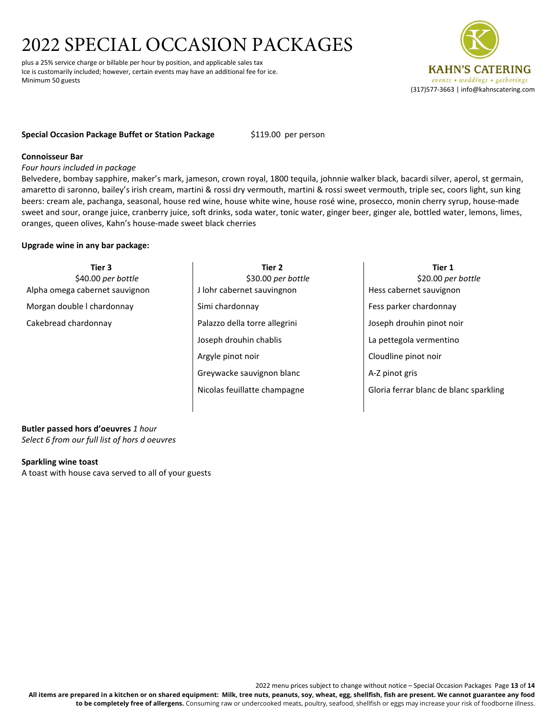plus a 25% service charge or billable per hour by position, and applicable sales tax Ice is customarily included; however, certain events may have an additional fee for ice. Minimum 50 guests



# **Special Occasion Package Buffet or Station Package** \$119.00 per person

# **Connoisseur Bar**

*Four hours included in package*

Belvedere, bombay sapphire, maker's mark, jameson, crown royal, 1800 tequila, johnnie walker black, bacardi silver, aperol, st germain, amaretto di saronno, bailey's irish cream, martini & rossi dry vermouth, martini & rossi sweet vermouth, triple sec, coors light, sun king beers: cream ale, pachanga, seasonal, house red wine, house white wine, house rosé wine, prosecco, monin cherry syrup, house-made sweet and sour, orange juice, cranberry juice, soft drinks, soda water, tonic water, ginger beer, ginger ale, bottled water, lemons, limes, oranges, queen olives, Kahn's house-made sweet black cherries

# **Upgrade wine in any bar package:**

| Tier 3                         | Tier 2                        | Tier 1                                 |
|--------------------------------|-------------------------------|----------------------------------------|
| \$40.00 per bottle             | \$30.00 per bottle            | \$20.00 per bottle                     |
| Alpha omega cabernet sauvignon | J lohr cabernet sauvingnon    | Hess cabernet sauvignon                |
| Morgan double I chardonnay     | Simi chardonnay               | Fess parker chardonnay                 |
| Cakebread chardonnay           | Palazzo della torre allegrini | Joseph drouhin pinot noir              |
|                                | Joseph drouhin chablis        | La pettegola vermentino                |
|                                | Argyle pinot noir             | Cloudline pinot noir                   |
|                                | Greywacke sauvignon blanc     | A-Z pinot gris                         |
|                                | Nicolas feuillatte champagne  | Gloria ferrar blanc de blanc sparkling |
|                                |                               |                                        |

**Butler passed hors d'oeuvres** *1 hour Select 6 from our full list of hors d oeuvres*

#### **Sparkling wine toast**

A toast with house cava served to all of your guests